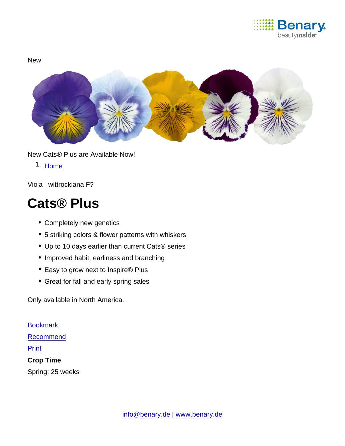

**New** 

New Cats® Plus are Available Now!

1. [Home](https://www.benary.com/)

Viola wittrockiana F?

# Cats® Plus

- Completely new genetics
- 5 striking colors & flower patterns with whiskers
- Up to 10 days earlier than current Cats® series
- Improved habit, earliness and branching
- Easy to grow next to Inspire® Plus
- Great for fall and early spring sales

Only available in North America.

**[Bookmark](https://www.benary.com/flag/flag/product/6538?destination&token=sPGLHalmgbSoAERIdDEzUovTPknyz-fJyJP7CCc9ErI)** [Recommend](mailto:?subject=Benary Viola wittrockiana F₁ &body=https://www.benary.com/print/pdf/node/6538) Print Crop Time Spring: 25 weeks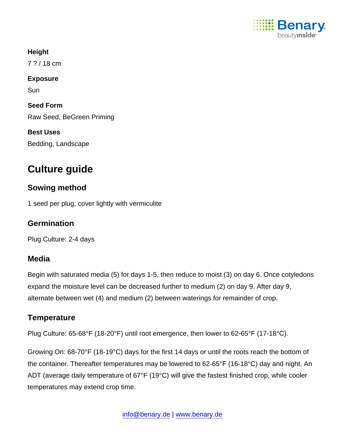

**Height** 7 ? / 18 cm Exposure Sun Seed Form Raw Seed, BeGreen Priming Best Uses Bedding, Landscape

## Culture guide

#### Sowing method

1 seed per plug, cover lightly with vermiculite

**Germination** 

Plug Culture: 2-4 days

#### Media

Begin with saturated media (5) for days 1-5, then reduce to moist (3) on day 6. Once cotyledons expand the moisture level can be decreased further to medium (2) on day 9. After day 9, alternate between wet (4) and medium (2) between waterings for remainder of crop.

### **Temperature**

Plug Culture: 65-68°F (18-20°F) until root emergence, then lower to 62-65°F (17-18°C).

Growing On: 68-70°F (18-19°C) days for the first 14 days or until the roots reach the bottom of the container. Thereafter temperatures may be lowered to 62-65°F (16-18°C) day and night. An ADT (average daily temperature of 67°F (19°C) will give the fastest finished crop, while cooler temperatures may extend crop time.